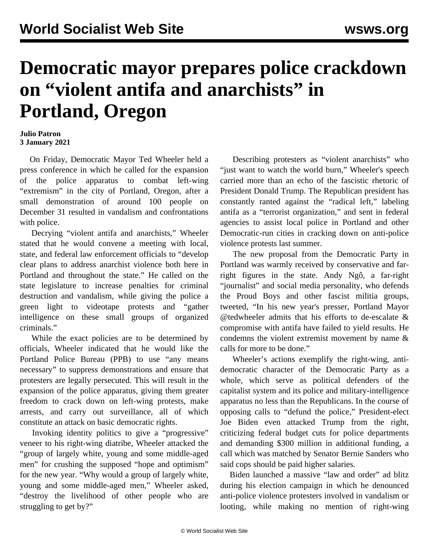## **Democratic mayor prepares police crackdown on "violent antifa and anarchists" in Portland, Oregon**

## **Julio Patron 3 January 2021**

 On Friday, Democratic Mayor Ted Wheeler held a press conference in which he called for the expansion of the police apparatus to combat left-wing "extremism" in the city of Portland, Oregon, after a small demonstration of around 100 people on December 31 resulted in vandalism and confrontations with police.

 Decrying "violent antifa and anarchists," Wheeler stated that he would convene a meeting with local, state, and federal law enforcement officials to "develop clear plans to address anarchist violence both here in Portland and throughout the state." He called on the state legislature to increase penalties for criminal destruction and vandalism, while giving the police a green light to videotape protests and "gather intelligence on these small groups of organized criminals."

 While the exact policies are to be determined by officials, Wheeler indicated that he would like the Portland Police Bureau (PPB) to use "any means necessary" to suppress demonstrations and ensure that protesters are legally persecuted. This will result in the expansion of the police apparatus, giving them greater freedom to crack down on left-wing protests, make arrests, and carry out surveillance, all of which constitute an attack on basic democratic rights.

 Invoking identity politics to give a "progressive" veneer to his right-wing diatribe, Wheeler attacked the "group of largely white, young and some middle-aged men" for crushing the supposed "hope and optimism" for the new year. "Why would a group of largely white, young and some middle-aged men," Wheeler asked, "destroy the livelihood of other people who are struggling to get by?"

 Describing protesters as "violent anarchists" who "just want to watch the world burn," Wheeler's speech carried more than an echo of the fascistic rhetoric of President Donald Trump. The Republican president has constantly ranted against the "radical left," labeling antifa as a "terrorist organization," and sent in federal agencies to assist local police in Portland and other Democratic-run cities in cracking down on anti-police violence protests last summer.

 The new proposal from the Democratic Party in Portland was warmly received by conservative and farright figures in the state. Andy Ngô, a far-right "journalist" and social media personality, who defends the Proud Boys and other fascist militia groups, tweeted, "In his new year's presser, Portland Mayor @tedwheeler admits that his efforts to de-escalate & compromise with antifa have failed to yield results. He condemns the violent extremist movement by name & calls for more to be done."

 Wheeler's actions exemplify the right-wing, antidemocratic character of the Democratic Party as a whole, which serve as political defenders of the capitalist system and its police and military-intelligence apparatus no less than the Republicans. In the course of opposing calls to "defund the police," President-elect Joe Biden even attacked Trump from the right, criticizing federal budget cuts for police departments and demanding \$300 million in additional funding, a call which was matched by Senator Bernie Sanders who said cops should be paid higher salaries.

 Biden launched a massive "law and order" ad blitz during his election campaign in which he denounced anti-police violence protesters involved in vandalism or looting, while making no mention of right-wing